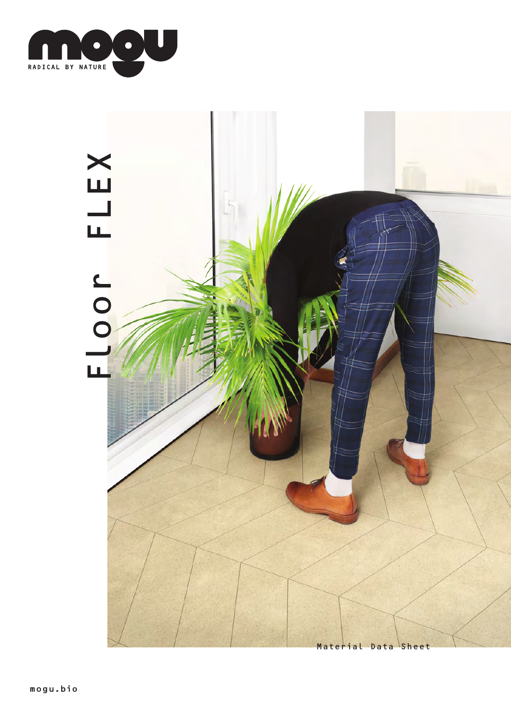

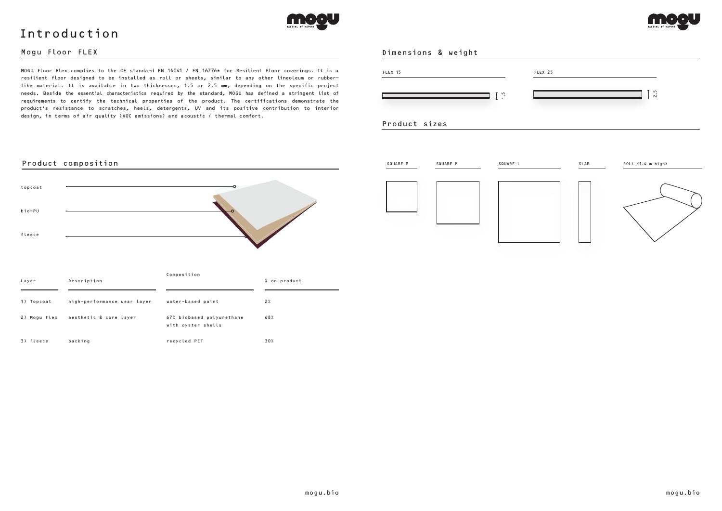#### Dimensions & weight

3) Fleece

backing



recycled PET



30%



MOGU Floor Flex complies to the CE standard EN 14041 / EN 16776\* for Resilient Floor coverings. It is a resilient floor designed to be installed as roll or sheets, similar to any other lineoleum or rubberlike material. It is available in two thicknesses, 1.5 or 2.5 mm, depending on the specific project needs. Beside the essential characteristics required by the standard, MOGU has defined a stringent list of requirements to certify the technical properties of the product. The certifications demonstrate the product's resistance to scratches, heels, detergents, UV and its positive contribution to interior design, in terms of air quality (VOC emissions) and acoustic / thermal comfort.

![](_page_1_Figure_6.jpeg)

## Mogu Floor FLEX

![](_page_1_Picture_0.jpeg)

# Introduction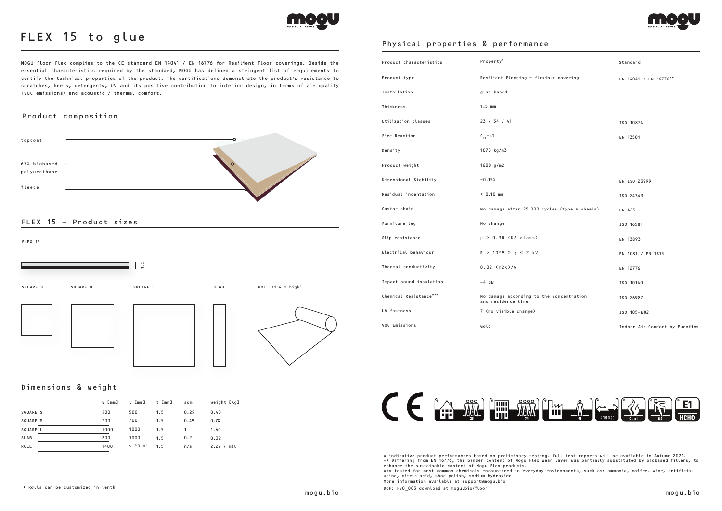### Dimensions & weight

|             | w [mm] | l [mm]    | t [mm] | sqm  | weight [Kg]   |
|-------------|--------|-----------|--------|------|---------------|
| SQUARE S    | 500    | 500       | 1.5    | 0.25 | 0.40          |
| SQUARE M    | 700    | 700       | 1.5    | 0.49 | 0.78          |
| SQUARE L    | 1000   | 1000      | 1.5    | 1    | 1.60          |
| <b>SLAB</b> | 200    | 1000      | 1.5    | 0.2  | 0.32          |
| ROLL        | 1400   | $< 20 m*$ | 1.5    | n/a  | 2.24 /<br>mtl |

# FLEX 15 - Product sizes

MOGU Floor Flex complies to the CE standard EN 14041 / EN 16776 for Resilient Floor coverings. Beside the essential characteristics required by the standard, MOGU has defined a stringent list of requirements to certify the technical properties of the product. The certifications demonstrate the product's resistance to scratches, heels, detergents, UV and its positive contribution to interior design, in terms of air quality (VOC emissions) and acoustic / thermal comfort.

![](_page_2_Picture_17.jpeg)

![](_page_2_Picture_18.jpeg)

![](_page_2_Picture_0.jpeg)

# FLEX 15 to glue

# Product composition

![](_page_2_Figure_4.jpeg)

\* indicative product performances based on preliminary testing. Full test reports will be available in Autumn 2021. \*\* Differing from EN 16776, the binder content of Mogu Flex wear layer was partially substituted by biobased fillers, to enhance the sustainable content of Mogu Flex products. \*\*\* tested for most common chemicals encountered in everyday environments, such as: ammonia, coffee, wine, artificial urine, citric acid, shoe polish, sodium hydroxide More information available at support@mogu.bio

![](_page_2_Figure_6.jpeg)

| Product characteristics | Property*                                                      | Standard                       |
|-------------------------|----------------------------------------------------------------|--------------------------------|
| Product type            | Resilient Flooring - flexible covering                         | EN 14041 / EN 16776**          |
| Installation            | glue-based                                                     |                                |
| Thickness               | $1.5$ mm                                                       |                                |
| Utilization classes     | 23 / 34 / 41                                                   | ISO 10874                      |
| Fire Reaction           | $C_{f1}$ -s1                                                   | EN 13501                       |
| Density                 | 1070 kg/m3                                                     |                                |
| Product weight          | 1600 $g/m2$                                                    |                                |
| Dimensional Stability   | $-0.15%$                                                       | EN ISO 23999                   |
| Residual indentation    | $< 0.10$ mm                                                    | ISO 24343                      |
| Castor chair            | No damage after 25.000 cycles (type W wheels)                  | EN 425                         |
| Furniture leg           | No change                                                      | ISO 16581                      |
| Slip resistance         | $\mu \geq 0.30$ (DS class)                                     | EN 13893                       |
| Electrical behaviour    | $R > 10^{9} \Omega$ ; $\leq 2$ kV                              | EN 1081 / EN 1815              |
| Thermal conductivity    | $0.02$ (m2K)/W                                                 | EN 12776                       |
| Impact sound insulation | $-4$ dB                                                        | ISO 10140                      |
| Chemical Resistance***  | No damage according to the concentration<br>and residence time | ISO 26987                      |
| UV fastness             | 7 (no visible change)                                          | ISO 105-B02                    |
| VOC Emissions           | Gold                                                           | Indoor Air Comfort by Eurofins |

![](_page_2_Picture_12.jpeg)

# Physical properties & performance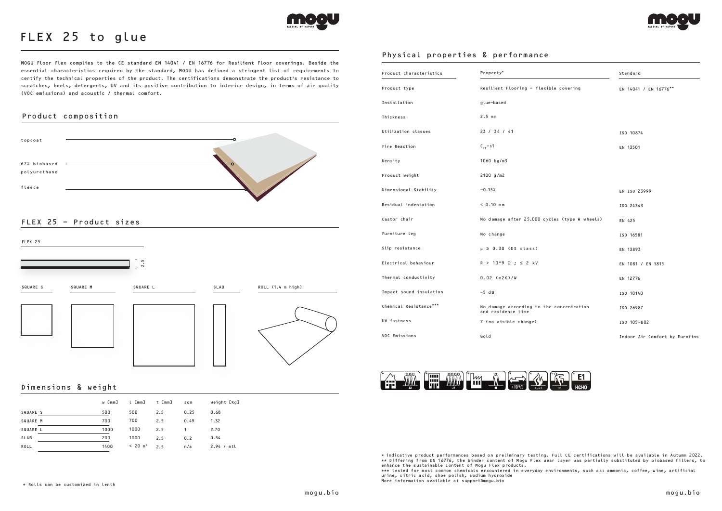# FLEX 25 - Product sizes

![](_page_3_Picture_0.jpeg)

# FLEX 25 to glue

# Product composition

![](_page_3_Figure_4.jpeg)

# Physical properties & performance

#### Dimensions & weight

![](_page_3_Figure_6.jpeg)

|                 | w [mm] | l [mm]    | t [mm] | sqm  | weight [Kg]   |
|-----------------|--------|-----------|--------|------|---------------|
| SQUARE S        | 500    | 500       | 2.5    | 0.25 | 0.68          |
| <b>SQUARE M</b> | 700    | 700       | 2.5    | 0.49 | 1.32          |
| SQUARE L        | 1000   | 1000      | 2.5    | 1    | 2.70          |
| <b>SLAB</b>     | 200    | 1000      | 2.5    | 0.2  | 0.54          |
| ROLL            | 1400   | $< 20 m*$ | 2.5    | n/a  | 2.94 /<br>mtl |

| Product characteristics | Property*                                                      | Standard                       |
|-------------------------|----------------------------------------------------------------|--------------------------------|
| Product type            | Resilient Flooring - flexible covering                         | EN 14041 / EN 16776**          |
| Installation            | glue-based                                                     |                                |
| Thickness               | $2.5$ mm                                                       |                                |
| Utilization classes     | 23 / 34 / 41                                                   | ISO 10874                      |
| Fire Reaction           | $C_{f1}$ -s1                                                   | EN 13501                       |
| Density                 | 1060 kg/m3                                                     |                                |
| Product weight          | 2100 g/m2                                                      |                                |
| Dimensional Stability   | $-0.15%$                                                       | EN ISO 23999                   |
| Residual indentation    | $< 0.10$ mm                                                    | ISO 24343                      |
| Castor chair            | No damage after 25.000 cycles (type W wheels)                  | EN 425                         |
| Furniture leg           | No change                                                      | ISO 16581                      |
| Slip resistance         | $\mu \geq 0.30$ (DS class)                                     | EN 13893                       |
| Electrical behaviour    | $R > 10^{9} \Omega$ ; $\leq 2$ kV                              | EN 1081 / EN 1815              |
| Thermal conductivity    | $0.02$ (m2K)/W                                                 | EN 12776                       |
| Impact sound insulation | $-5$ dB                                                        | ISO 10140                      |
| Chemical Resistance***  | No damage according to the concentration<br>and residence time | ISO 26987                      |
| UV fastness             | 7 (no visible change)                                          | ISO 105-B02                    |
| VOC Emissions           | Gold                                                           | Indoor Air Comfort by Eurofins |

![](_page_3_Picture_11.jpeg)

\* indicative product performances based on preliminary testing. Full CE certifications will be available in Autumn 2022. \*\* Differing from EN 16776, the binder content of Mogu Flex wear layer was partially substituted by biobased fillers, to enhance the sustainable content of Mogu Flex products. \*\*\* tested for most common chemicals encountered in everyday environments, such as: ammonia, coffee, wine, artificial urine, citric acid, shoe polish, sodium hydroxide More information available at support@mogu.bio

MOGU Floor Flex complies to the CE standard EN 14041 / EN 16776 for Resilient Floor coverings. Beside the essential characteristics required by the standard, MOGU has defined a stringent list of requirements to certify the technical properties of the product. The certifications demonstrate the product's resistance to scratches, heels, detergents, UV and its positive contribution to interior design, in terms of air quality (VOC emissions) and acoustic / thermal comfort.

![](_page_3_Picture_15.jpeg)

![](_page_3_Picture_16.jpeg)